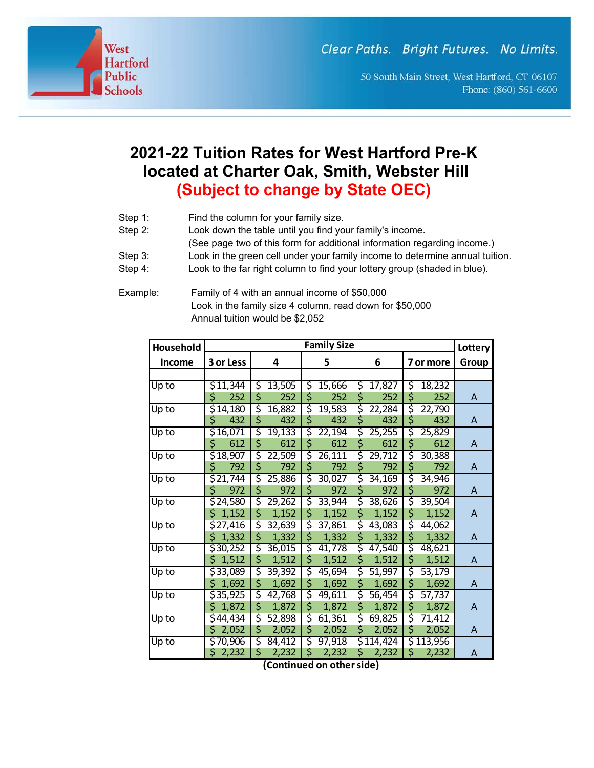Clear Paths. Bright Futures. No Limits.

50 South Main Street, West Hartford, CT 06107 Phone: (860) 561-6600

## **2021-22 Tuition Rates for West Hartford Pre-K located at Charter Oak, Smith, Webster Hill (Subject to change by State OEC)**

Step 1: Find the column for your family size.

West

**Hartford** Public

chools

- Step 2: Look down the table until you find your family's income.
	- (See page two of this form for additional information regarding income.)
- Step 3: Look in the green cell under your family income to determine annual tuition.
- Step 4: Look to the far right column to find your lottery group (shaded in blue).
- Example: Family of 4 with an annual income of \$50,000 Look in the family size 4 column, read down for \$50,000 Annual tuition would be \$2,052

| Household     | <b>Family Size</b>                |              |              |                          |              |       |
|---------------|-----------------------------------|--------------|--------------|--------------------------|--------------|-------|
| <b>Income</b> | 3 or Less                         | 4            | 5            | 6                        | 7 or more    | Group |
|               |                                   |              |              |                          |              |       |
| Up to         | \$11,344                          | \$<br>13,505 | \$<br>15,666 | \$<br>17,827             | \$<br>18,232 |       |
|               | \$<br>252                         | \$<br>252    | \$<br>252    | \$<br>252                | \$<br>252    | A     |
| Up to         | \$14,180                          | \$<br>16,882 | \$<br>19,583 | \$<br>22,284             | \$<br>22,790 |       |
|               | \$<br>432                         | \$<br>432    | \$<br>432    | \$<br>432                | \$<br>432    | A     |
| Up to         | \$16,071                          | \$<br>19,133 | \$<br>22,194 | \$<br>25,255             | \$<br>25,829 |       |
|               | \$<br>612                         | \$<br>612    | \$<br>612    | \$<br>612                | \$<br>612    | A     |
| Up to         | $\overline{$}3\overline{$}18,907$ | \$<br>22,509 | \$<br>26,111 | \$<br>29,712             | \$<br>30,388 |       |
|               | \$<br>792                         | \$<br>792    | \$<br>792    | \$<br>792                | \$<br>792    | A     |
| Up to         | \$21,744                          | \$<br>25,886 | \$<br>30,027 | \$<br>34,169             | \$<br>34,946 |       |
|               | \$<br>972                         | \$<br>972    | \$<br>972    | \$<br>972                | \$<br>972    | A     |
| Up to         | \$24,580                          | ड़<br>29,262 | ड़<br>33,944 | ζ<br>38,626              | ड़<br>39,504 |       |
|               | \$<br>1,152                       | \$<br>1,152  | \$<br>1,152  | \$<br>1,152              | \$<br>1,152  | A     |
| Up to         | \$27,416                          | \$<br>32,639 | \$<br>37,861 | \$<br>43,083             | \$<br>44,062 |       |
|               | \$<br>1,332                       | \$<br>1,332  | \$<br>1,332  | \$<br>1,332              | \$<br>1,332  | A     |
| Up to         | \$30,252                          | \$<br>36,015 | \$<br>41,778 | \$<br>47,540             | \$<br>48,621 |       |
|               | 1,512<br>\$.                      | \$<br>1,512  | \$<br>1,512  | \$<br>1,512              | \$<br>1,512  | A     |
| Up to         | \$33,089                          | ζ<br>39,392  | ζ<br>45,694  | ζ<br>$\overline{51,997}$ | \$<br>53,179 |       |
|               | \$<br>1,692                       | \$<br>1,692  | \$<br>1,692  | \$<br>1,692              | \$<br>1,692  | A     |
| Up to         | \$35,925                          | \$<br>42,768 | \$<br>49,611 | \$<br>56,454             | \$<br>57,737 |       |
|               | 1,872<br>\$                       | \$<br>1,872  | \$<br>1,872  | \$<br>1,872              | \$<br>1,872  | A     |
| Up to         | $\overline{544,434}$              | \$<br>52,898 | \$<br>61,361 | \$<br>69,825             | \$<br>71,412 |       |
|               | \$<br>2,052                       | \$<br>2,052  | \$<br>2,052  | \$<br>2,052              | \$<br>2,052  | A     |
| Up to         | \$70,906                          | \$<br>84,412 | \$<br>97,918 | \$114,424                | \$113,956    |       |
|               | \$<br>2,232                       | \$<br>2,232  | \$<br>2,232  | \$<br>2,232              | \$<br>2,232  | A     |

**(Continued on other side)**